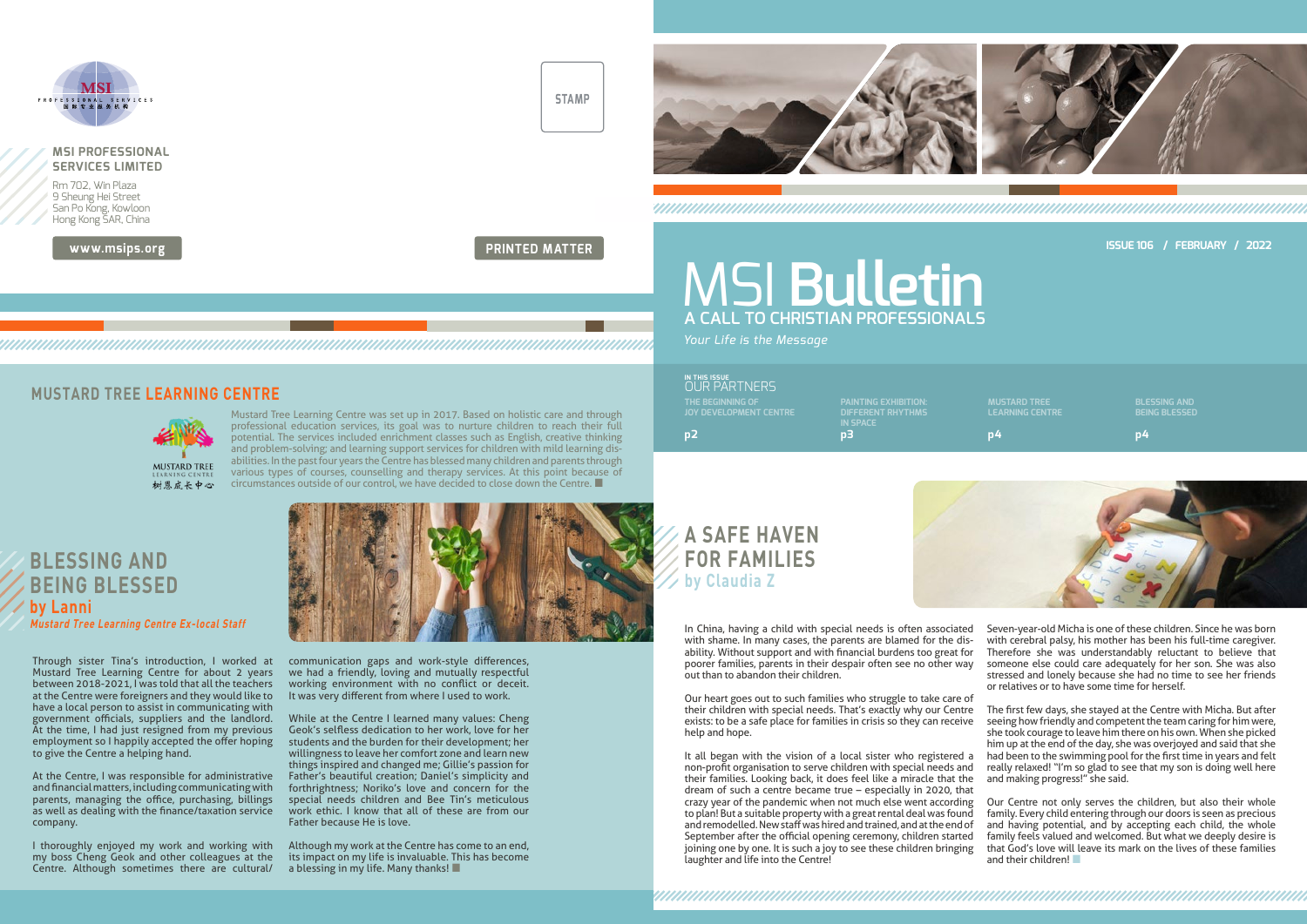**www.msips.org**



**STAMP**

**PRINTED MATTER**



# **A SAFE HAVEN FOR FAMILIES by Claudia Z**

It all began with the vision of a local sister who registered a non-profit organisation to serve children with special needs and their families. Looking back, it does feel like a miracle that the dream of such a centre became true – especially in 2020, that crazy year of the pandemic when not much else went according to plan! But a suitable property with a great rental deal was found and remodelled. New staff was hired and trained, and at the end of September after the official opening ceremony, children started joining one by one. It is such a joy to see these children bringing laughter and life into the Centre! really relaxed! "I'm so glad to see that my son is doing well here and making progress!" she said. Our Centre not only serves the children, but also their whole family. Every child entering through our doors is seen as precious and having potential, and by accepting each child, the whole family feels valued and welcomed. But what we deeply desire is that God's love will leave its mark on the lives of these families and their children!

Our heart goes out to such families who struggle to take care of their children with special needs. That's exactly why our Centre exists: to be a safe place for families in crisis so they can receive help and hope.

In China, having a child with special needs is often associated with shame. In many cases, the parents are blamed for the disability. Without support and with financial burdens too great for poorer families, parents in their despair often see no other way out than to abandon their children. Seven-year-old Micha is one of these children. Since he was born with cerebral palsy, his mother has been his full-time caregiver. Therefore she was understandably reluctant to believe that someone else could care adequately for her son. She was also stressed and lonely because she had no time to see her friends or relatives or to have some time for herself.

> The first few days, she stayed at the Centre with Micha. But after seeing how friendly and competent the team caring for him were, she took courage to leave him there on his own. When she picked him up at the end of the day, she was overjoyed and said that she had been to the swimming pool for the first time in years and felt

#### **MUSTARD TREE LEARNING CENTRE**



Mustard Tree Learning Centre was set up in 2017. Based on holistic care and through professional education services, its goal was to nurture children to reach their full potential. The services included enrichment classes such as English, creative thinking and problem-solving; and learning support services for children with mild learning disabilities. In the past four years the Centre has blessed many children and parents through various types of courses, counselling and therapy services. At this point because of circumstances outside of our control, we have decided to close down the Centre. ■

Through sister Tina's introduction, I worked at Mustard Tree Learning Centre for about 2 years between 2018-2021, I was told that all the teachers at the Centre were foreigners and they would like to have a local person to assist in communicating with government officials, suppliers and the landlord. At the time, I had just resigned from my previous employment so I happily accepted the offer hoping to give the Centre a helping hand.

At the Centre, I was responsible for administrative and financial matters, including communicating with parents, managing the office, purchasing, billings as well as dealing with the finance/taxation service company.

I thoroughly enjoyed my work and working with my boss Cheng Geok and other colleagues at the Centre. Although sometimes there are cultural/ communication gaps and work-style differences, we had a friendly, loving and mutually respectful working environment with no conflict or deceit. It was very different from where I used to work.

While at the Centre I learned many values: Cheng Geok's selfless dedication to her work, love for her students and the burden for their development; her willingness to leave her comfort zone and learn new things inspired and changed me; Gillie's passion for Father's beautiful creation; Daniel's simplicity and forthrightness; Noriko's love and concern for the special needs children and Bee Tin's meticulous work ethic. I know that all of these are from our Father because He is love.

Although my work at the Centre has come to an end, its impact on my life is invaluable. This has become a blessing in my life. Many thanks! ■

### **BLESSING AND BEING BLESSED by Lanni Mustard Tree Learning Centre Ex-local Staff**

### **IN THIS ISSUE** OUR PARTNERS

# **A CALL TO CHRISTIAN PROFESSIONALS** MSI **Bulletin**

*Your Life is the Message*

#### **ISSUE 106 / FEBRUARY / 2022**

**MUSTARD TREE LEARNING CENTRE**

**THE BEGINNING OF JOY DEVELOPMENT CENTRE p2**

**DIFFERENT RHYTHMS IN SPACE p3 p4**

**BLESSING AND BEING BLESSED**

**p4**